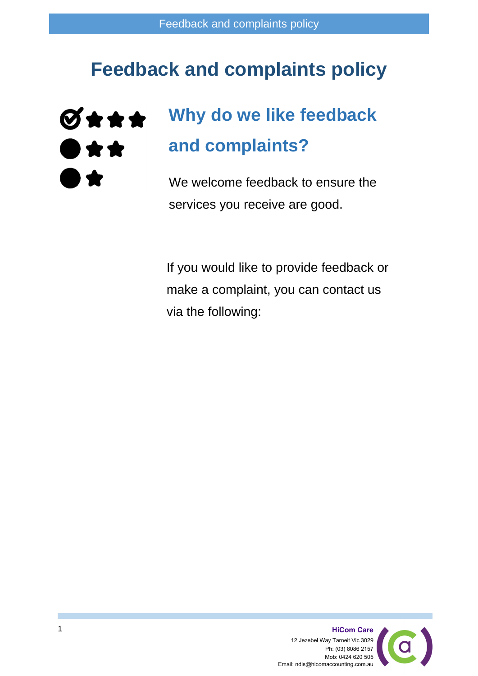#### **Feedback and complaints policy**



## **Why do we like feedback and complaints?**

We welcome feedback to ensure the services you receive are good.

If you would like to provide feedback or make a complaint, you can contact us via the following:

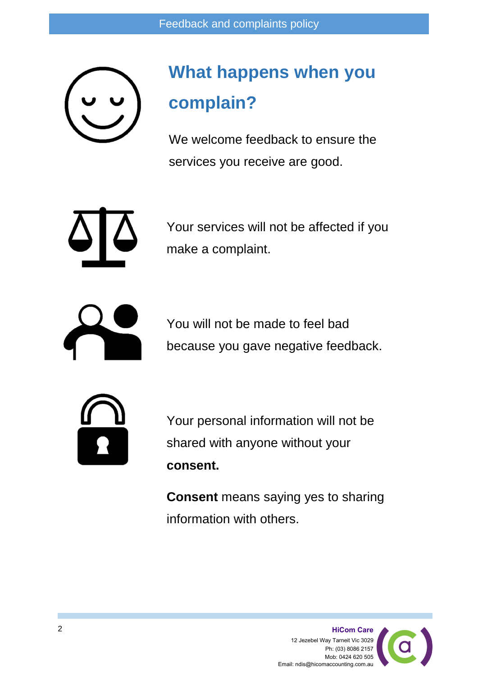### **What happens when you complain?**

We welcome feedback to ensure the services you receive are good.

Your services will not be affected if you make a complaint.



You will not be made to feel bad because you gave negative feedback.



Your personal information will not be shared with anyone without your **consent.**

**Consent** means saying yes to sharing information with others.

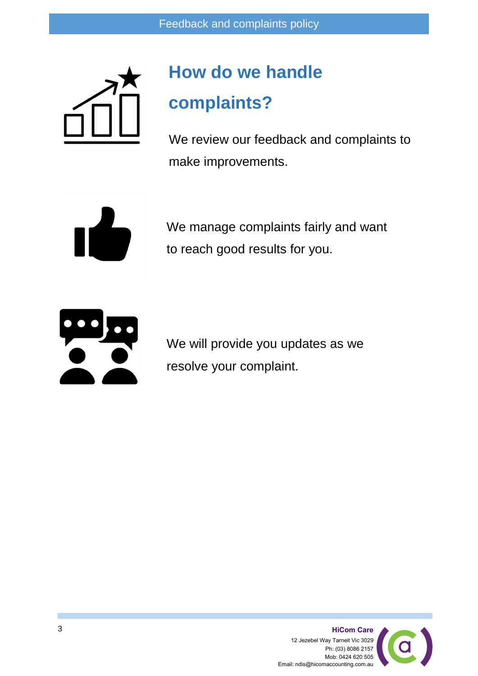

# **How do we handle complaints?**

We review our feedback and complaints to make improvements.



We manage complaints fairly and want to reach good results for you.



We will provide you updates as we resolve your complaint.

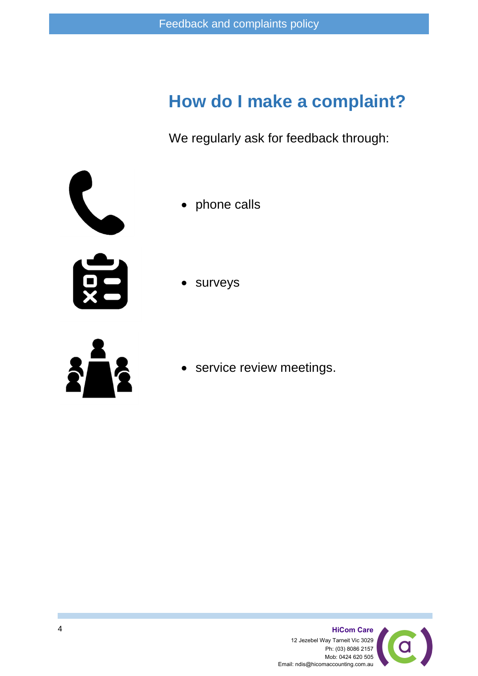#### **How do I make a complaint?**

We regularly ask for feedback through:



- phone calls
- surveys
- 
- service review meetings.